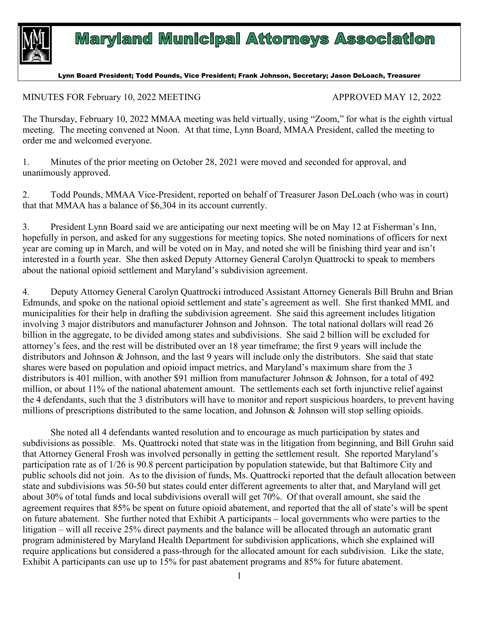

## **Maryland Municipal Attorneys Association**

Lynn Board President; Todd Pounds, Vice President; Frank Johnson, Secretary; Jason DeLoach, Treasurer

MINUTES FOR February 10, 2022 MEETING APPROVED MAY 12, 2022

The Thursday, February 10, 2022 MMAA meeting was held virtually, using "Zoom," for what is the eighth virtual meeting. The meeting convened at Noon. At that time, Lynn Board, MMAA President, called the meeting to order me and welcomed everyone.

1. Minutes of the prior meeting on October 28, 2021 were moved and seconded for approval, and unanimously approved.

2. Todd Pounds, MMAA Vice-President, reported on behalf of Treasurer Jason DeLoach (who was in court) that that MMAA has a balance of \$6,304 in its account currently.

3. President Lynn Board said we are anticipating our next meeting will be on May 12 at Fisherman's Inn, hopefully in person, and asked for any suggestions for meeting topics. She noted nominations of officers for next year are coming up in March, and will be voted on in May, and noted she will be finishing third year and isn't interested in a fourth year. She then asked Deputy Attorney General Carolyn Quattrocki to speak to members about the national opioid settlement and Maryland's subdivision agreement.

4. Deputy Attorney General Carolyn Quattrocki introduced Assistant Attorney Generals Bill Bruhn and Brian Edmunds, and spoke on the national opioid settlement and state's agreement as well. She first thanked MML and municipalities for their help in drafting the subdivision agreement. She said this agreement includes litigation involving 3 major distributors and manufacturer Johnson and Johnson. The total national dollars will read 26 billion in the aggregate, to be divided among states and subdivisions. She said 2 billion will be excluded for attorney's fees, and the rest will be distributed over an 18 year timeframe; the first 9 years will include the distributors and Johnson & Johnson, and the last 9 years will include only the distributors. She said that state shares were based on population and opioid impact metrics, and Maryland's maximum share from the 3 distributors is 401 million, with another \$91 million from manufacturer Johnson & Johnson, for a total of 492 million, or about 11% of the national abatement amount. The settlements each set forth injunctive relief against the 4 defendants, such that the 3 distributors will have to monitor and report suspicious hoarders, to prevent having millions of prescriptions distributed to the same location, and Johnson & Johnson will stop selling opioids.

She noted all 4 defendants wanted resolution and to encourage as much participation by states and subdivisions as possible. Ms. Quattrocki noted that state was in the litigation from beginning, and Bill Gruhn said that Attorney General Frosh was involved personally in getting the settlement result. She reported Maryland's participation rate as of 1/26 is 90.8 percent participation by population statewide, but that Baltimore City and public schools did not join. As to the division of funds, Ms. Quattrocki reported that the default allocation between state and subdivisions was 50-50 but states could enter different agreements to alter that, and Maryland will get about 30% of total funds and local subdivisions overall will get 70%. Of that overall amount, she said the agreement requires that 85% be spent on future opioid abatement, and reported that the all of state's will be spent on future abatement. She further noted that Exhibit A participants – local governments who were parties to the litigation – will all receive 25% direct payments and the balance will be allocated through an automatic grant program administered by Maryland Health Department for subdivision applications, which she explained will require applications but considered a pass-through for the allocated amount for each subdivision. Like the state, Exhibit A participants can use up to 15% for past abatement programs and 85% for future abatement.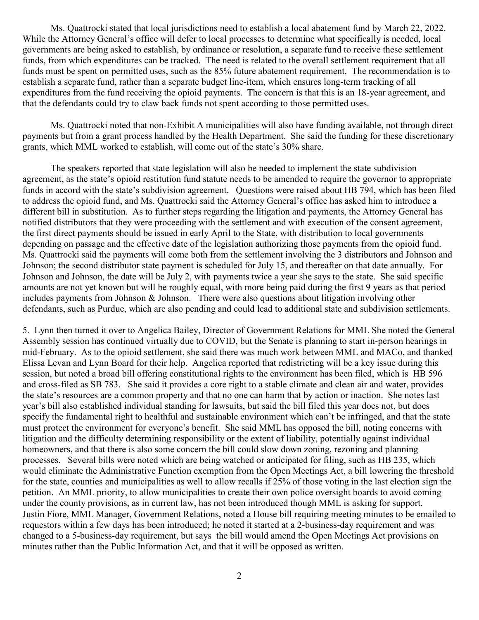Ms. Quattrocki stated that local jurisdictions need to establish a local abatement fund by March 22, 2022. While the Attorney General's office will defer to local processes to determine what specifically is needed, local governments are being asked to establish, by ordinance or resolution, a separate fund to receive these settlement funds, from which expenditures can be tracked. The need is related to the overall settlement requirement that all funds must be spent on permitted uses, such as the 85% future abatement requirement. The recommendation is to establish a separate fund, rather than a separate budget line-item, which ensures long-term tracking of all expenditures from the fund receiving the opioid payments. The concern is that this is an 18-year agreement, and that the defendants could try to claw back funds not spent according to those permitted uses.

Ms. Quattrocki noted that non-Exhibit A municipalities will also have funding available, not through direct payments but from a grant process handled by the Health Department. She said the funding for these discretionary grants, which MML worked to establish, will come out of the state's 30% share.

The speakers reported that state legislation will also be needed to implement the state subdivision agreement, as the state's opioid restitution fund statute needs to be amended to require the governor to appropriate funds in accord with the state's subdivision agreement. Questions were raised about HB 794, which has been filed to address the opioid fund, and Ms. Quattrocki said the Attorney General's office has asked him to introduce a different bill in substitution. As to further steps regarding the litigation and payments, the Attorney General has notified distributors that they were proceeding with the settlement and with execution of the consent agreement, the first direct payments should be issued in early April to the State, with distribution to local governments depending on passage and the effective date of the legislation authorizing those payments from the opioid fund. Ms. Quattrocki said the payments will come both from the settlement involving the 3 distributors and Johnson and Johnson; the second distributor state payment is scheduled for July 15, and thereafter on that date annually. For Johnson and Johnson, the date will be July 2, with payments twice a year she says to the state. She said specific amounts are not yet known but will be roughly equal, with more being paid during the first 9 years as that period includes payments from Johnson & Johnson. There were also questions about litigation involving other defendants, such as Purdue, which are also pending and could lead to additional state and subdivision settlements.

5. Lynn then turned it over to Angelica Bailey, Director of Government Relations for MML She noted the General Assembly session has continued virtually due to COVID, but the Senate is planning to start in-person hearings in mid-February. As to the opioid settlement, she said there was much work between MML and MACo, and thanked Elissa Levan and Lynn Board for their help. Angelica reported that redistricting will be a key issue during this session, but noted a broad bill offering constitutional rights to the environment has been filed, which is HB 596 and cross-filed as SB 783. She said it provides a core right to a stable climate and clean air and water, provides the state's resources are a common property and that no one can harm that by action or inaction. She notes last year's bill also established individual standing for lawsuits, but said the bill filed this year does not, but does specify the fundamental right to healthful and sustainable environment which can't be infringed, and that the state must protect the environment for everyone's benefit. She said MML has opposed the bill, noting concerns with litigation and the difficulty determining responsibility or the extent of liability, potentially against individual homeowners, and that there is also some concern the bill could slow down zoning, rezoning and planning processes. Several bills were noted which are being watched or anticipated for filing, such as HB 235, which would eliminate the Administrative Function exemption from the Open Meetings Act, a bill lowering the threshold for the state, counties and municipalities as well to allow recalls if 25% of those voting in the last election sign the petition. An MML priority, to allow municipalities to create their own police oversight boards to avoid coming under the county provisions, as in current law, has not been introduced though MML is asking for support. Justin Fiore, MML Manager, Government Relations, noted a House bill requiring meeting minutes to be emailed to requestors within a few days has been introduced; he noted it started at a 2-business-day requirement and was changed to a 5-business-day requirement, but says the bill would amend the Open Meetings Act provisions on minutes rather than the Public Information Act, and that it will be opposed as written.